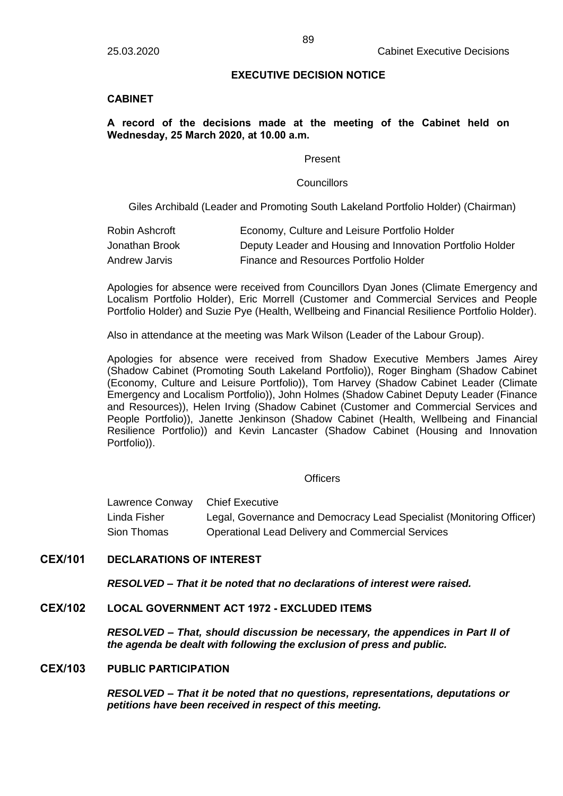### **EXECUTIVE DECISION NOTICE**

## **CABINET**

# **A record of the decisions made at the meeting of the Cabinet held on Wednesday, 25 March 2020, at 10.00 a.m.**

#### Present

#### **Councillors**

Giles Archibald (Leader and Promoting South Lakeland Portfolio Holder) (Chairman)

| Robin Ashcroft | Economy, Culture and Leisure Portfolio Holder             |
|----------------|-----------------------------------------------------------|
| Jonathan Brook | Deputy Leader and Housing and Innovation Portfolio Holder |
| Andrew Jarvis  | Finance and Resources Portfolio Holder                    |

Apologies for absence were received from Councillors Dyan Jones (Climate Emergency and Localism Portfolio Holder), Eric Morrell (Customer and Commercial Services and People Portfolio Holder) and Suzie Pye (Health, Wellbeing and Financial Resilience Portfolio Holder).

Also in attendance at the meeting was Mark Wilson (Leader of the Labour Group).

Apologies for absence were received from Shadow Executive Members James Airey (Shadow Cabinet (Promoting South Lakeland Portfolio)), Roger Bingham (Shadow Cabinet (Economy, Culture and Leisure Portfolio)), Tom Harvey (Shadow Cabinet Leader (Climate Emergency and Localism Portfolio)), John Holmes (Shadow Cabinet Deputy Leader (Finance and Resources)), Helen Irving (Shadow Cabinet (Customer and Commercial Services and People Portfolio)), Janette Jenkinson (Shadow Cabinet (Health, Wellbeing and Financial Resilience Portfolio)) and Kevin Lancaster (Shadow Cabinet (Housing and Innovation Portfolio)).

### **Officers**

Lawrence Conway Chief Executive Linda Fisher Legal, Governance and Democracy Lead Specialist (Monitoring Officer) Sion Thomas Operational Lead Delivery and Commercial Services

# **CEX/101 DECLARATIONS OF INTEREST**

*RESOLVED – That it be noted that no declarations of interest were raised.*

# **CEX/102 LOCAL GOVERNMENT ACT 1972 - EXCLUDED ITEMS**

*RESOLVED – That, should discussion be necessary, the appendices in Part II of the agenda be dealt with following the exclusion of press and public.*

## **CEX/103 PUBLIC PARTICIPATION**

*RESOLVED – That it be noted that no questions, representations, deputations or petitions have been received in respect of this meeting.*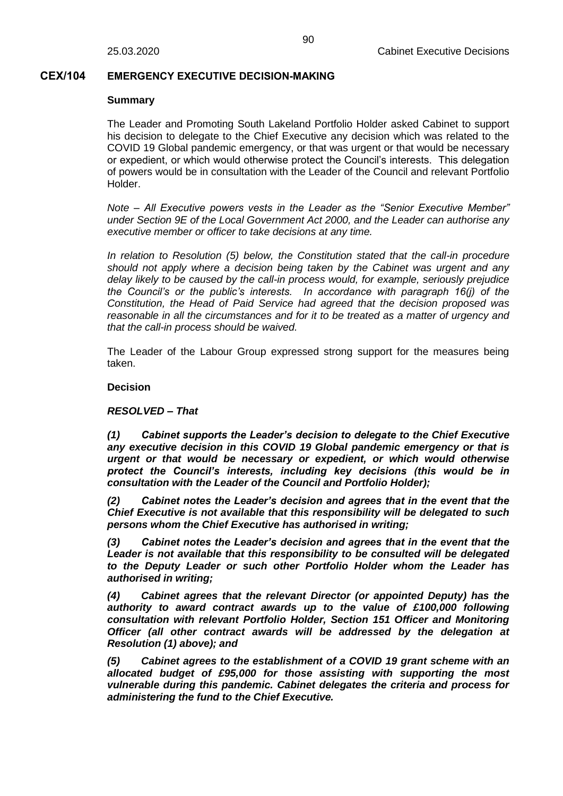### **CEX/104 EMERGENCY EXECUTIVE DECISION-MAKING**

#### **Summary**

The Leader and Promoting South Lakeland Portfolio Holder asked Cabinet to support his decision to delegate to the Chief Executive any decision which was related to the COVID 19 Global pandemic emergency, or that was urgent or that would be necessary or expedient, or which would otherwise protect the Council's interests. This delegation of powers would be in consultation with the Leader of the Council and relevant Portfolio Holder.

*Note – All Executive powers vests in the Leader as the "Senior Executive Member" under Section 9E of the Local Government Act 2000, and the Leader can authorise any executive member or officer to take decisions at any time.*

*In relation to Resolution (5) below, the Constitution stated that the call-in procedure should not apply where a decision being taken by the Cabinet was urgent and any delay likely to be caused by the call-in process would, for example, seriously prejudice the Council's or the public's interests. In accordance with paragraph 16(j) of the Constitution, the Head of Paid Service had agreed that the decision proposed was reasonable in all the circumstances and for it to be treated as a matter of urgency and that the call-in process should be waived.*

The Leader of the Labour Group expressed strong support for the measures being taken.

#### **Decision**

### *RESOLVED – That*

*(1) Cabinet supports the Leader's decision to delegate to the Chief Executive any executive decision in this COVID 19 Global pandemic emergency or that is urgent or that would be necessary or expedient, or which would otherwise protect the Council's interests, including key decisions (this would be in consultation with the Leader of the Council and Portfolio Holder);*

*(2) Cabinet notes the Leader's decision and agrees that in the event that the Chief Executive is not available that this responsibility will be delegated to such persons whom the Chief Executive has authorised in writing;*

*(3) Cabinet notes the Leader's decision and agrees that in the event that the Leader is not available that this responsibility to be consulted will be delegated to the Deputy Leader or such other Portfolio Holder whom the Leader has authorised in writing;*

*(4) Cabinet agrees that the relevant Director (or appointed Deputy) has the authority to award contract awards up to the value of £100,000 following consultation with relevant Portfolio Holder, Section 151 Officer and Monitoring Officer (all other contract awards will be addressed by the delegation at Resolution (1) above); and*

*(5) Cabinet agrees to the establishment of a COVID 19 grant scheme with an allocated budget of £95,000 for those assisting with supporting the most vulnerable during this pandemic. Cabinet delegates the criteria and process for administering the fund to the Chief Executive.*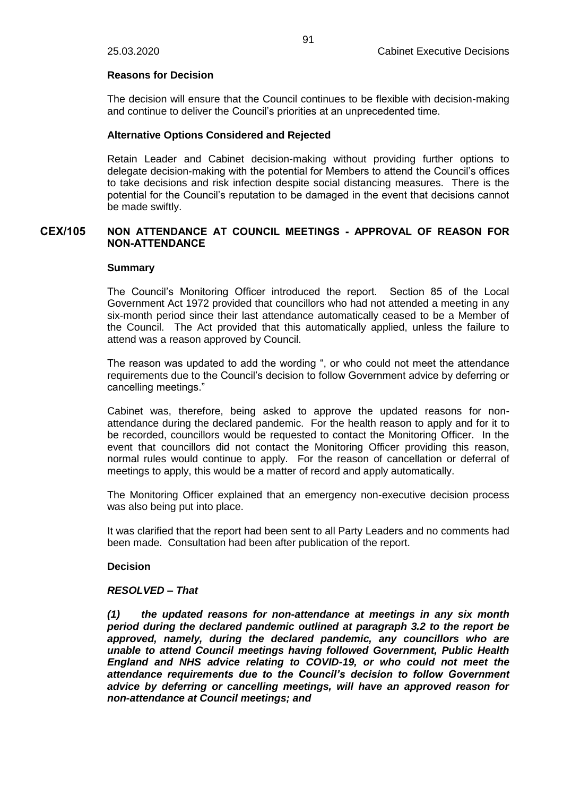### **Reasons for Decision**

The decision will ensure that the Council continues to be flexible with decision-making and continue to deliver the Council's priorities at an unprecedented time.

## **Alternative Options Considered and Rejected**

Retain Leader and Cabinet decision-making without providing further options to delegate decision-making with the potential for Members to attend the Council's offices to take decisions and risk infection despite social distancing measures. There is the potential for the Council's reputation to be damaged in the event that decisions cannot be made swiftly.

## **CEX/105 NON ATTENDANCE AT COUNCIL MEETINGS - APPROVAL OF REASON FOR NON-ATTENDANCE**

### **Summary**

The Council's Monitoring Officer introduced the report. Section 85 of the Local Government Act 1972 provided that councillors who had not attended a meeting in any six-month period since their last attendance automatically ceased to be a Member of the Council. The Act provided that this automatically applied, unless the failure to attend was a reason approved by Council.

The reason was updated to add the wording ", or who could not meet the attendance requirements due to the Council's decision to follow Government advice by deferring or cancelling meetings."

Cabinet was, therefore, being asked to approve the updated reasons for nonattendance during the declared pandemic. For the health reason to apply and for it to be recorded, councillors would be requested to contact the Monitoring Officer. In the event that councillors did not contact the Monitoring Officer providing this reason, normal rules would continue to apply. For the reason of cancellation or deferral of meetings to apply, this would be a matter of record and apply automatically.

The Monitoring Officer explained that an emergency non-executive decision process was also being put into place.

It was clarified that the report had been sent to all Party Leaders and no comments had been made. Consultation had been after publication of the report.

### **Decision**

### *RESOLVED – That*

*(1) the updated reasons for non-attendance at meetings in any six month period during the declared pandemic outlined at paragraph 3.2 to the report be approved, namely, during the declared pandemic, any councillors who are unable to attend Council meetings having followed Government, Public Health England and NHS advice relating to COVID-19, or who could not meet the attendance requirements due to the Council's decision to follow Government advice by deferring or cancelling meetings, will have an approved reason for non-attendance at Council meetings; and*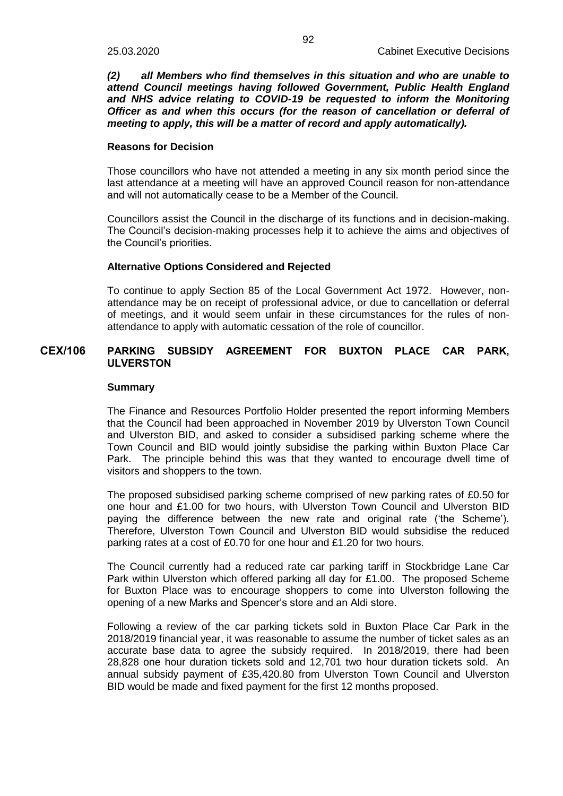*(2) all Members who find themselves in this situation and who are unable to attend Council meetings having followed Government, Public Health England*  and NHS advice relating to COVID-19 be requested to inform the Monitoring *Officer as and when this occurs (for the reason of cancellation or deferral of meeting to apply, this will be a matter of record and apply automatically).*

#### **Reasons for Decision**

Those councillors who have not attended a meeting in any six month period since the last attendance at a meeting will have an approved Council reason for non-attendance and will not automatically cease to be a Member of the Council.

Councillors assist the Council in the discharge of its functions and in decision-making. The Council's decision-making processes help it to achieve the aims and objectives of the Council's priorities.

#### **Alternative Options Considered and Rejected**

To continue to apply Section 85 of the Local Government Act 1972. However, nonattendance may be on receipt of professional advice, or due to cancellation or deferral of meetings, and it would seem unfair in these circumstances for the rules of nonattendance to apply with automatic cessation of the role of councillor.

## **CEX/106 PARKING SUBSIDY AGREEMENT FOR BUXTON PLACE CAR PARK, ULVERSTON**

#### **Summary**

The Finance and Resources Portfolio Holder presented the report informing Members that the Council had been approached in November 2019 by Ulverston Town Council and Ulverston BID, and asked to consider a subsidised parking scheme where the Town Council and BID would jointly subsidise the parking within Buxton Place Car Park. The principle behind this was that they wanted to encourage dwell time of visitors and shoppers to the town.

The proposed subsidised parking scheme comprised of new parking rates of £0.50 for one hour and £1.00 for two hours, with Ulverston Town Council and Ulverston BID paying the difference between the new rate and original rate ('the Scheme'). Therefore, Ulverston Town Council and Ulverston BID would subsidise the reduced parking rates at a cost of £0.70 for one hour and £1.20 for two hours.

The Council currently had a reduced rate car parking tariff in Stockbridge Lane Car Park within Ulverston which offered parking all day for £1.00. The proposed Scheme for Buxton Place was to encourage shoppers to come into Ulverston following the opening of a new Marks and Spencer's store and an Aldi store.

Following a review of the car parking tickets sold in Buxton Place Car Park in the 2018/2019 financial year, it was reasonable to assume the number of ticket sales as an accurate base data to agree the subsidy required. In 2018/2019, there had been 28,828 one hour duration tickets sold and 12,701 two hour duration tickets sold. An annual subsidy payment of £35,420.80 from Ulverston Town Council and Ulverston BID would be made and fixed payment for the first 12 months proposed.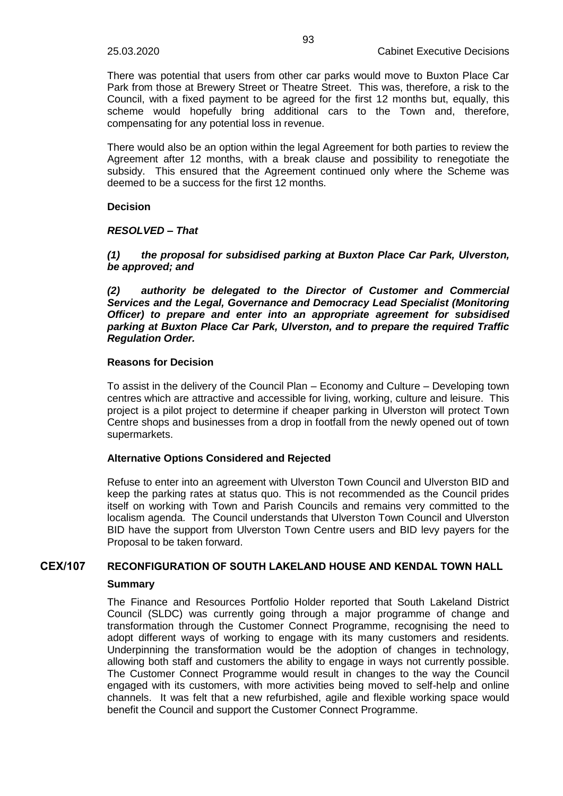There was potential that users from other car parks would move to Buxton Place Car Park from those at Brewery Street or Theatre Street. This was, therefore, a risk to the Council, with a fixed payment to be agreed for the first 12 months but, equally, this scheme would hopefully bring additional cars to the Town and, therefore, compensating for any potential loss in revenue.

There would also be an option within the legal Agreement for both parties to review the Agreement after 12 months, with a break clause and possibility to renegotiate the subsidy. This ensured that the Agreement continued only where the Scheme was deemed to be a success for the first 12 months.

**Decision**

#### *RESOLVED – That*

*(1) the proposal for subsidised parking at Buxton Place Car Park, Ulverston, be approved; and*

*(2) authority be delegated to the Director of Customer and Commercial Services and the Legal, Governance and Democracy Lead Specialist (Monitoring Officer) to prepare and enter into an appropriate agreement for subsidised parking at Buxton Place Car Park, Ulverston, and to prepare the required Traffic Regulation Order.*

#### **Reasons for Decision**

To assist in the delivery of the Council Plan – Economy and Culture – Developing town centres which are attractive and accessible for living, working, culture and leisure. This project is a pilot project to determine if cheaper parking in Ulverston will protect Town Centre shops and businesses from a drop in footfall from the newly opened out of town supermarkets.

### **Alternative Options Considered and Rejected**

Refuse to enter into an agreement with Ulverston Town Council and Ulverston BID and keep the parking rates at status quo. This is not recommended as the Council prides itself on working with Town and Parish Councils and remains very committed to the localism agenda. The Council understands that Ulverston Town Council and Ulverston BID have the support from Ulverston Town Centre users and BID levy payers for the Proposal to be taken forward.

## **CEX/107 RECONFIGURATION OF SOUTH LAKELAND HOUSE AND KENDAL TOWN HALL**

### **Summary**

The Finance and Resources Portfolio Holder reported that South Lakeland District Council (SLDC) was currently going through a major programme of change and transformation through the Customer Connect Programme, recognising the need to adopt different ways of working to engage with its many customers and residents. Underpinning the transformation would be the adoption of changes in technology, allowing both staff and customers the ability to engage in ways not currently possible. The Customer Connect Programme would result in changes to the way the Council engaged with its customers, with more activities being moved to self-help and online channels. It was felt that a new refurbished, agile and flexible working space would benefit the Council and support the Customer Connect Programme.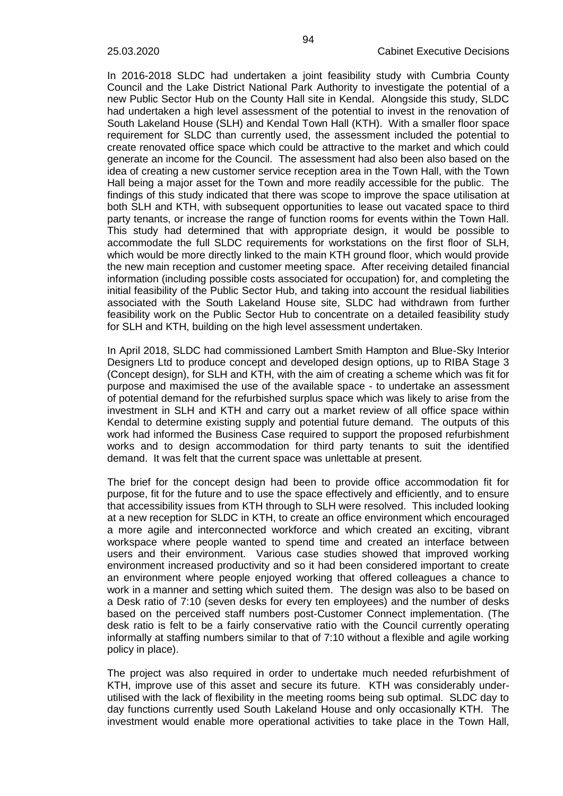In 2016-2018 SLDC had undertaken a joint feasibility study with Cumbria County Council and the Lake District National Park Authority to investigate the potential of a new Public Sector Hub on the County Hall site in Kendal. Alongside this study, SLDC had undertaken a high level assessment of the potential to invest in the renovation of South Lakeland House (SLH) and Kendal Town Hall (KTH). With a smaller floor space requirement for SLDC than currently used, the assessment included the potential to create renovated office space which could be attractive to the market and which could generate an income for the Council. The assessment had also been also based on the idea of creating a new customer service reception area in the Town Hall, with the Town Hall being a major asset for the Town and more readily accessible for the public. The findings of this study indicated that there was scope to improve the space utilisation at both SLH and KTH, with subsequent opportunities to lease out vacated space to third party tenants, or increase the range of function rooms for events within the Town Hall. This study had determined that with appropriate design, it would be possible to accommodate the full SLDC requirements for workstations on the first floor of SLH, which would be more directly linked to the main KTH ground floor, which would provide the new main reception and customer meeting space. After receiving detailed financial information (including possible costs associated for occupation) for, and completing the initial feasibility of the Public Sector Hub, and taking into account the residual liabilities associated with the South Lakeland House site, SLDC had withdrawn from further feasibility work on the Public Sector Hub to concentrate on a detailed feasibility study for SLH and KTH, building on the high level assessment undertaken.

In April 2018, SLDC had commissioned Lambert Smith Hampton and Blue-Sky Interior Designers Ltd to produce concept and developed design options, up to RIBA Stage 3 (Concept design), for SLH and KTH, with the aim of creating a scheme which was fit for purpose and maximised the use of the available space - to undertake an assessment of potential demand for the refurbished surplus space which was likely to arise from the investment in SLH and KTH and carry out a market review of all office space within Kendal to determine existing supply and potential future demand. The outputs of this work had informed the Business Case required to support the proposed refurbishment works and to design accommodation for third party tenants to suit the identified demand. It was felt that the current space was unlettable at present.

The brief for the concept design had been to provide office accommodation fit for purpose, fit for the future and to use the space effectively and efficiently, and to ensure that accessibility issues from KTH through to SLH were resolved. This included looking at a new reception for SLDC in KTH, to create an office environment which encouraged a more agile and interconnected workforce and which created an exciting, vibrant workspace where people wanted to spend time and created an interface between users and their environment. Various case studies showed that improved working environment increased productivity and so it had been considered important to create an environment where people enjoyed working that offered colleagues a chance to work in a manner and setting which suited them. The design was also to be based on a Desk ratio of 7:10 (seven desks for every ten employees) and the number of desks based on the perceived staff numbers post-Customer Connect implementation. (The desk ratio is felt to be a fairly conservative ratio with the Council currently operating informally at staffing numbers similar to that of 7:10 without a flexible and agile working policy in place).

The project was also required in order to undertake much needed refurbishment of KTH, improve use of this asset and secure its future. KTH was considerably underutilised with the lack of flexibility in the meeting rooms being sub optimal. SLDC day to day functions currently used South Lakeland House and only occasionally KTH. The investment would enable more operational activities to take place in the Town Hall,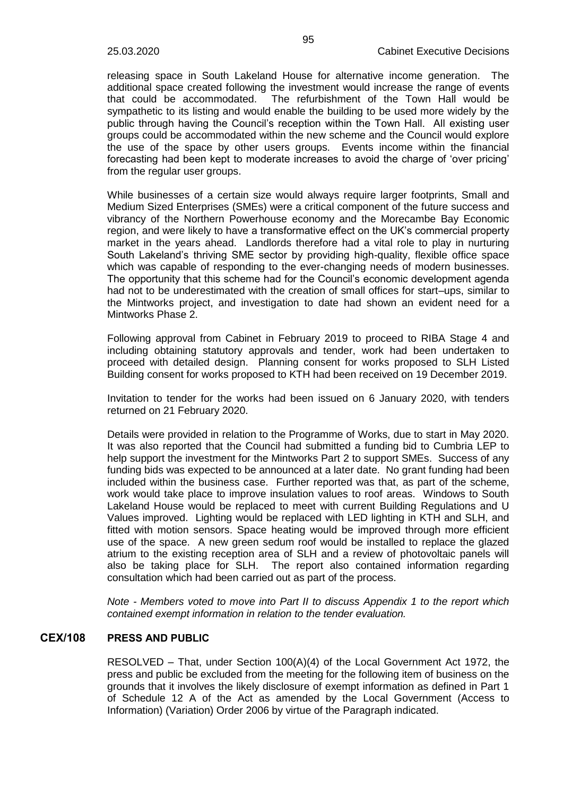releasing space in South Lakeland House for alternative income generation. The additional space created following the investment would increase the range of events that could be accommodated. The refurbishment of the Town Hall would be sympathetic to its listing and would enable the building to be used more widely by the public through having the Council's reception within the Town Hall. All existing user groups could be accommodated within the new scheme and the Council would explore the use of the space by other users groups. Events income within the financial forecasting had been kept to moderate increases to avoid the charge of 'over pricing' from the regular user groups.

While businesses of a certain size would always require larger footprints, Small and Medium Sized Enterprises (SMEs) were a critical component of the future success and vibrancy of the Northern Powerhouse economy and the Morecambe Bay Economic region, and were likely to have a transformative effect on the UK's commercial property market in the years ahead. Landlords therefore had a vital role to play in nurturing South Lakeland's thriving SME sector by providing high-quality, flexible office space which was capable of responding to the ever-changing needs of modern businesses. The opportunity that this scheme had for the Council's economic development agenda had not to be underestimated with the creation of small offices for start–ups, similar to the Mintworks project, and investigation to date had shown an evident need for a Mintworks Phase 2.

Following approval from Cabinet in February 2019 to proceed to RIBA Stage 4 and including obtaining statutory approvals and tender, work had been undertaken to proceed with detailed design. Planning consent for works proposed to SLH Listed Building consent for works proposed to KTH had been received on 19 December 2019.

Invitation to tender for the works had been issued on 6 January 2020, with tenders returned on 21 February 2020.

Details were provided in relation to the Programme of Works, due to start in May 2020. It was also reported that the Council had submitted a funding bid to Cumbria LEP to help support the investment for the Mintworks Part 2 to support SMEs. Success of any funding bids was expected to be announced at a later date. No grant funding had been included within the business case. Further reported was that, as part of the scheme, work would take place to improve insulation values to roof areas. Windows to South Lakeland House would be replaced to meet with current Building Regulations and U Values improved. Lighting would be replaced with LED lighting in KTH and SLH, and fitted with motion sensors. Space heating would be improved through more efficient use of the space. A new green sedum roof would be installed to replace the glazed atrium to the existing reception area of SLH and a review of photovoltaic panels will also be taking place for SLH. The report also contained information regarding consultation which had been carried out as part of the process.

*Note - Members voted to move into Part II to discuss Appendix 1 to the report which contained exempt information in relation to the tender evaluation.*

# **CEX/108 PRESS AND PUBLIC**

RESOLVED – That, under Section 100(A)(4) of the Local Government Act 1972, the press and public be excluded from the meeting for the following item of business on the grounds that it involves the likely disclosure of exempt information as defined in Part 1 of Schedule 12 A of the Act as amended by the Local Government (Access to Information) (Variation) Order 2006 by virtue of the Paragraph indicated.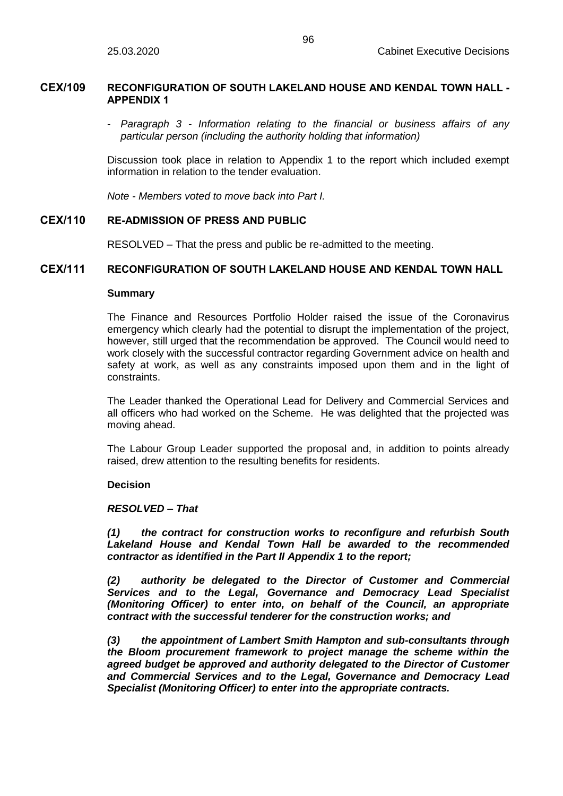### **CEX/109 RECONFIGURATION OF SOUTH LAKELAND HOUSE AND KENDAL TOWN HALL - APPENDIX 1**

- *Paragraph 3 - Information relating to the financial or business affairs of any particular person (including the authority holding that information)* 

Discussion took place in relation to Appendix 1 to the report which included exempt information in relation to the tender evaluation.

*Note - Members voted to move back into Part I.*

## **CEX/110 RE-ADMISSION OF PRESS AND PUBLIC**

RESOLVED – That the press and public be re-admitted to the meeting.

# **CEX/111 RECONFIGURATION OF SOUTH LAKELAND HOUSE AND KENDAL TOWN HALL**

### **Summary**

The Finance and Resources Portfolio Holder raised the issue of the Coronavirus emergency which clearly had the potential to disrupt the implementation of the project, however, still urged that the recommendation be approved. The Council would need to work closely with the successful contractor regarding Government advice on health and safety at work, as well as any constraints imposed upon them and in the light of constraints.

The Leader thanked the Operational Lead for Delivery and Commercial Services and all officers who had worked on the Scheme. He was delighted that the projected was moving ahead.

The Labour Group Leader supported the proposal and, in addition to points already raised, drew attention to the resulting benefits for residents.

### **Decision**

### *RESOLVED – That*

*(1) the contract for construction works to reconfigure and refurbish South Lakeland House and Kendal Town Hall be awarded to the recommended contractor as identified in the Part II Appendix 1 to the report;* 

*(2) authority be delegated to the Director of Customer and Commercial Services and to the Legal, Governance and Democracy Lead Specialist (Monitoring Officer) to enter into, on behalf of the Council, an appropriate contract with the successful tenderer for the construction works; and*

*(3) the appointment of Lambert Smith Hampton and sub-consultants through the Bloom procurement framework to project manage the scheme within the agreed budget be approved and authority delegated to the Director of Customer and Commercial Services and to the Legal, Governance and Democracy Lead Specialist (Monitoring Officer) to enter into the appropriate contracts.*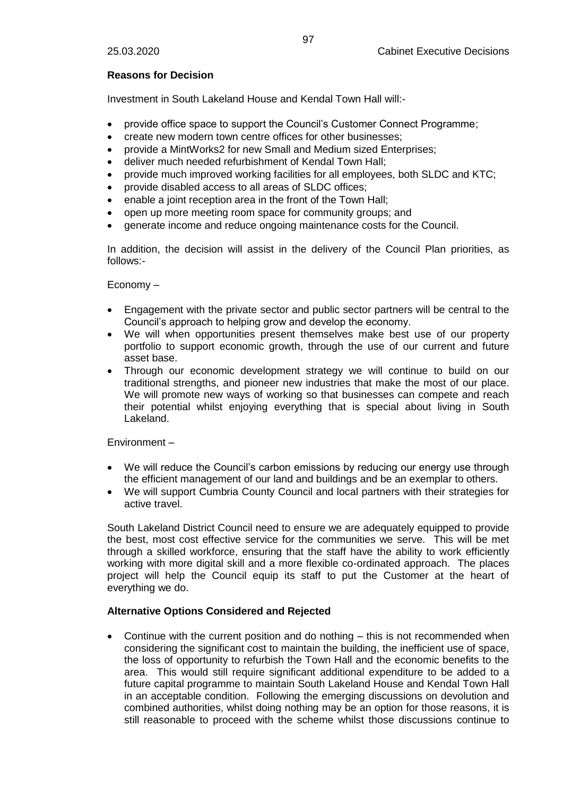# **Reasons for Decision**

Investment in South Lakeland House and Kendal Town Hall will:-

- provide office space to support the Council's Customer Connect Programme;
- create new modern town centre offices for other businesses;
- provide a MintWorks2 for new Small and Medium sized Enterprises;
- deliver much needed refurbishment of Kendal Town Hall;
- provide much improved working facilities for all employees, both SLDC and KTC;
- provide disabled access to all areas of SLDC offices;
- enable a joint reception area in the front of the Town Hall;
- open up more meeting room space for community groups; and
- generate income and reduce ongoing maintenance costs for the Council.

In addition, the decision will assist in the delivery of the Council Plan priorities, as follows:-

Economy –

- Engagement with the private sector and public sector partners will be central to the Council's approach to helping grow and develop the economy.
- We will when opportunities present themselves make best use of our property portfolio to support economic growth, through the use of our current and future asset base.
- Through our economic development strategy we will continue to build on our traditional strengths, and pioneer new industries that make the most of our place. We will promote new ways of working so that businesses can compete and reach their potential whilst enjoying everything that is special about living in South Lakeland.

Environment –

- We will reduce the Council's carbon emissions by reducing our energy use through the efficient management of our land and buildings and be an exemplar to others.
- We will support Cumbria County Council and local partners with their strategies for active travel.

South Lakeland District Council need to ensure we are adequately equipped to provide the best, most cost effective service for the communities we serve. This will be met through a skilled workforce, ensuring that the staff have the ability to work efficiently working with more digital skill and a more flexible co-ordinated approach. The places project will help the Council equip its staff to put the Customer at the heart of everything we do.

# **Alternative Options Considered and Rejected**

• Continue with the current position and do nothing – this is not recommended when considering the significant cost to maintain the building, the inefficient use of space, the loss of opportunity to refurbish the Town Hall and the economic benefits to the area. This would still require significant additional expenditure to be added to a future capital programme to maintain South Lakeland House and Kendal Town Hall in an acceptable condition. Following the emerging discussions on devolution and combined authorities, whilst doing nothing may be an option for those reasons, it is still reasonable to proceed with the scheme whilst those discussions continue to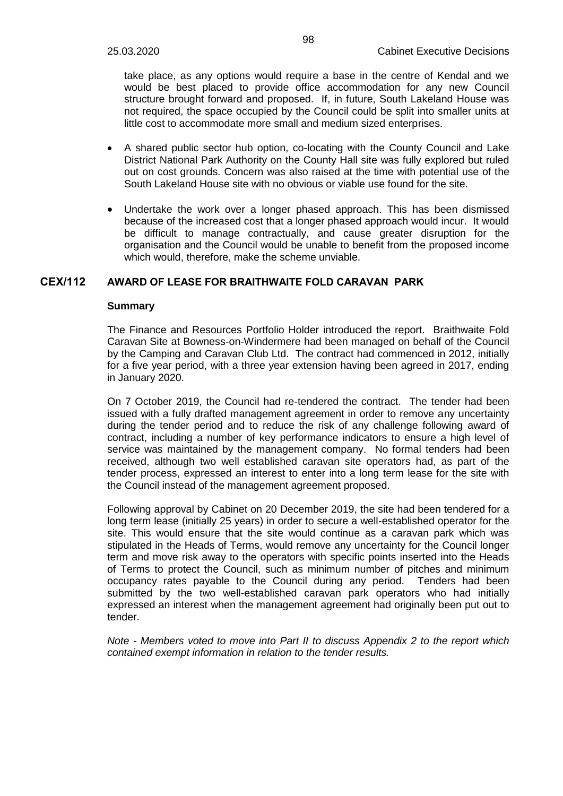take place, as any options would require a base in the centre of Kendal and we would be best placed to provide office accommodation for any new Council structure brought forward and proposed. If, in future, South Lakeland House was not required, the space occupied by the Council could be split into smaller units at little cost to accommodate more small and medium sized enterprises.

- A shared public sector hub option, co-locating with the County Council and Lake District National Park Authority on the County Hall site was fully explored but ruled out on cost grounds. Concern was also raised at the time with potential use of the South Lakeland House site with no obvious or viable use found for the site.
- Undertake the work over a longer phased approach. This has been dismissed because of the increased cost that a longer phased approach would incur. It would be difficult to manage contractually, and cause greater disruption for the organisation and the Council would be unable to benefit from the proposed income which would, therefore, make the scheme unviable.

## **CEX/112 AWARD OF LEASE FOR BRAITHWAITE FOLD CARAVAN PARK**

#### **Summary**

The Finance and Resources Portfolio Holder introduced the report. Braithwaite Fold Caravan Site at Bowness-on-Windermere had been managed on behalf of the Council by the Camping and Caravan Club Ltd. The contract had commenced in 2012, initially for a five year period, with a three year extension having been agreed in 2017, ending in January 2020.

On 7 October 2019, the Council had re-tendered the contract. The tender had been issued with a fully drafted management agreement in order to remove any uncertainty during the tender period and to reduce the risk of any challenge following award of contract, including a number of key performance indicators to ensure a high level of service was maintained by the management company. No formal tenders had been received, although two well established caravan site operators had, as part of the tender process, expressed an interest to enter into a long term lease for the site with the Council instead of the management agreement proposed.

Following approval by Cabinet on 20 December 2019, the site had been tendered for a long term lease (initially 25 years) in order to secure a well-established operator for the site. This would ensure that the site would continue as a caravan park which was stipulated in the Heads of Terms, would remove any uncertainty for the Council longer term and move risk away to the operators with specific points inserted into the Heads of Terms to protect the Council, such as minimum number of pitches and minimum occupancy rates payable to the Council during any period. Tenders had been submitted by the two well-established caravan park operators who had initially expressed an interest when the management agreement had originally been put out to tender.

*Note - Members voted to move into Part II to discuss Appendix 2 to the report which contained exempt information in relation to the tender results.*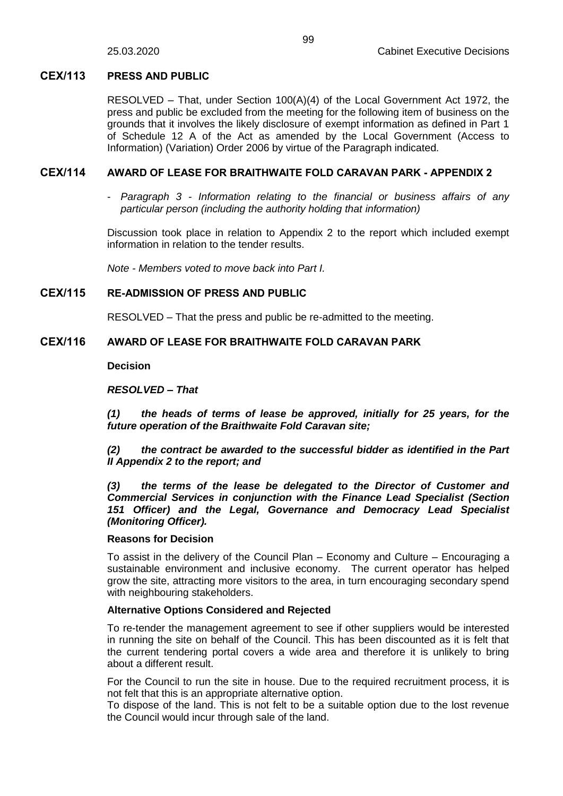# **CEX/113 PRESS AND PUBLIC**

RESOLVED – That, under Section 100(A)(4) of the Local Government Act 1972, the press and public be excluded from the meeting for the following item of business on the grounds that it involves the likely disclosure of exempt information as defined in Part 1 of Schedule 12 A of the Act as amended by the Local Government (Access to Information) (Variation) Order 2006 by virtue of the Paragraph indicated.

# **CEX/114 AWARD OF LEASE FOR BRAITHWAITE FOLD CARAVAN PARK - APPENDIX 2**

- *Paragraph 3 - Information relating to the financial or business affairs of any particular person (including the authority holding that information)* 

Discussion took place in relation to Appendix 2 to the report which included exempt information in relation to the tender results.

*Note - Members voted to move back into Part I.*

# **CEX/115 RE-ADMISSION OF PRESS AND PUBLIC**

RESOLVED – That the press and public be re-admitted to the meeting.

# **CEX/116 AWARD OF LEASE FOR BRAITHWAITE FOLD CARAVAN PARK**

**Decision**

# *RESOLVED – That*

*(1) the heads of terms of lease be approved, initially for 25 years, for the future operation of the Braithwaite Fold Caravan site;*

*(2) the contract be awarded to the successful bidder as identified in the Part II Appendix 2 to the report; and* 

*(3) the terms of the lease be delegated to the Director of Customer and Commercial Services in conjunction with the Finance Lead Specialist (Section 151 Officer) and the Legal, Governance and Democracy Lead Specialist (Monitoring Officer).*

# **Reasons for Decision**

To assist in the delivery of the Council Plan – Economy and Culture – Encouraging a sustainable environment and inclusive economy. The current operator has helped grow the site, attracting more visitors to the area, in turn encouraging secondary spend with neighbouring stakeholders.

# **Alternative Options Considered and Rejected**

To re-tender the management agreement to see if other suppliers would be interested in running the site on behalf of the Council. This has been discounted as it is felt that the current tendering portal covers a wide area and therefore it is unlikely to bring about a different result.

For the Council to run the site in house. Due to the required recruitment process, it is not felt that this is an appropriate alternative option.

To dispose of the land. This is not felt to be a suitable option due to the lost revenue the Council would incur through sale of the land.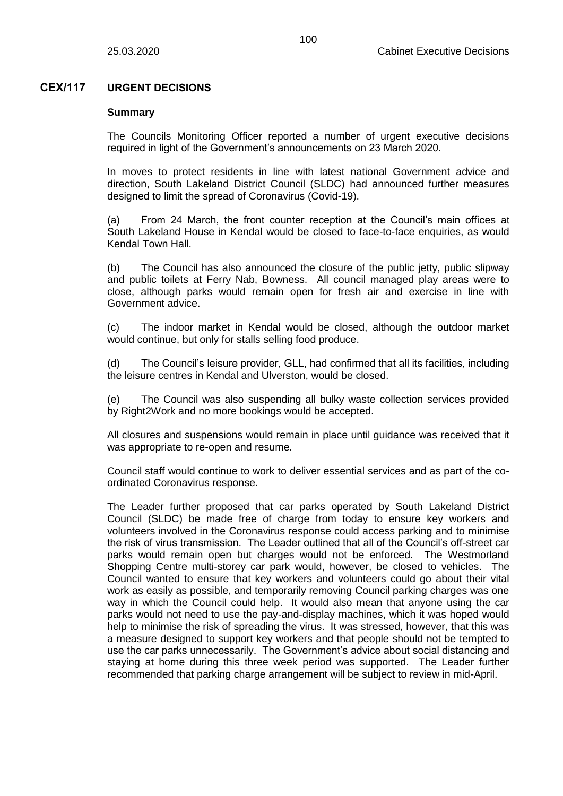# **CEX/117 URGENT DECISIONS**

#### **Summary**

The Councils Monitoring Officer reported a number of urgent executive decisions required in light of the Government's announcements on 23 March 2020.

In moves to protect residents in line with latest national Government advice and direction, South Lakeland District Council (SLDC) had announced further measures designed to limit the spread of Coronavirus (Covid-19).

(a) From 24 March, the front counter reception at the Council's main offices at South Lakeland House in Kendal would be closed to face-to-face enquiries, as would Kendal Town Hall.

(b) The Council has also announced the closure of the public jetty, public slipway and public toilets at Ferry Nab, Bowness. All council managed play areas were to close, although parks would remain open for fresh air and exercise in line with Government advice.

(c) The indoor market in Kendal would be closed, although the outdoor market would continue, but only for stalls selling food produce.

(d) The Council's leisure provider, GLL, had confirmed that all its facilities, including the leisure centres in Kendal and Ulverston, would be closed.

(e) The Council was also suspending all bulky waste collection services provided by Right2Work and no more bookings would be accepted.

All closures and suspensions would remain in place until guidance was received that it was appropriate to re-open and resume.

Council staff would continue to work to deliver essential services and as part of the coordinated Coronavirus response.

The Leader further proposed that car parks operated by South Lakeland District Council (SLDC) be made free of charge from today to ensure key workers and volunteers involved in the Coronavirus response could access parking and to minimise the risk of virus transmission. The Leader outlined that all of the Council's off-street car parks would remain open but charges would not be enforced. The Westmorland Shopping Centre multi-storey car park would, however, be closed to vehicles. The Council wanted to ensure that key workers and volunteers could go about their vital work as easily as possible, and temporarily removing Council parking charges was one way in which the Council could help. It would also mean that anyone using the car parks would not need to use the pay-and-display machines, which it was hoped would help to minimise the risk of spreading the virus. It was stressed, however, that this was a measure designed to support key workers and that people should not be tempted to use the car parks unnecessarily. The Government's advice about social distancing and staying at home during this three week period was supported. The Leader further recommended that parking charge arrangement will be subject to review in mid-April.